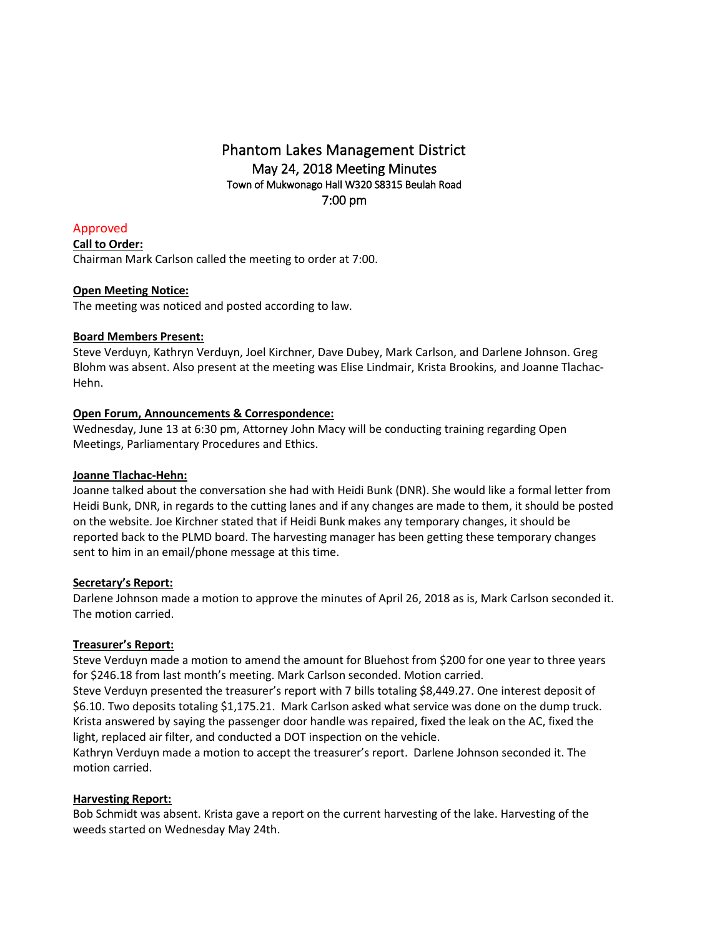# Phantom Lakes Management District May 24, 2018 Meeting Minutes Town of Mukwonago Hall W320 S8315 Beulah Road 7:00 pm

Approved **Call to Order:** Chairman Mark Carlson called the meeting to order at 7:00.

## **Open Meeting Notice:**

The meeting was noticed and posted according to law.

### **Board Members Present:**

Steve Verduyn, Kathryn Verduyn, Joel Kirchner, Dave Dubey, Mark Carlson, and Darlene Johnson. Greg Blohm was absent. Also present at the meeting was Elise Lindmair, Krista Brookins, and Joanne Tlachac-Hehn.

### **Open Forum, Announcements & Correspondence:**

Wednesday, June 13 at 6:30 pm, Attorney John Macy will be conducting training regarding Open Meetings, Parliamentary Procedures and Ethics.

### **Joanne Tlachac-Hehn:**

Joanne talked about the conversation she had with Heidi Bunk (DNR). She would like a formal letter from Heidi Bunk, DNR, in regards to the cutting lanes and if any changes are made to them, it should be posted on the website. Joe Kirchner stated that if Heidi Bunk makes any temporary changes, it should be reported back to the PLMD board. The harvesting manager has been getting these temporary changes sent to him in an email/phone message at this time.

### **Secretary's Report:**

Darlene Johnson made a motion to approve the minutes of April 26, 2018 as is, Mark Carlson seconded it. The motion carried.

## **Treasurer's Report:**

Steve Verduyn made a motion to amend the amount for Bluehost from \$200 for one year to three years for \$246.18 from last month's meeting. Mark Carlson seconded. Motion carried.

Steve Verduyn presented the treasurer's report with 7 bills totaling \$8,449.27. One interest deposit of \$6.10. Two deposits totaling \$1,175.21. Mark Carlson asked what service was done on the dump truck. Krista answered by saying the passenger door handle was repaired, fixed the leak on the AC, fixed the light, replaced air filter, and conducted a DOT inspection on the vehicle.

Kathryn Verduyn made a motion to accept the treasurer's report. Darlene Johnson seconded it. The motion carried.

### **Harvesting Report:**

Bob Schmidt was absent. Krista gave a report on the current harvesting of the lake. Harvesting of the weeds started on Wednesday May 24th.